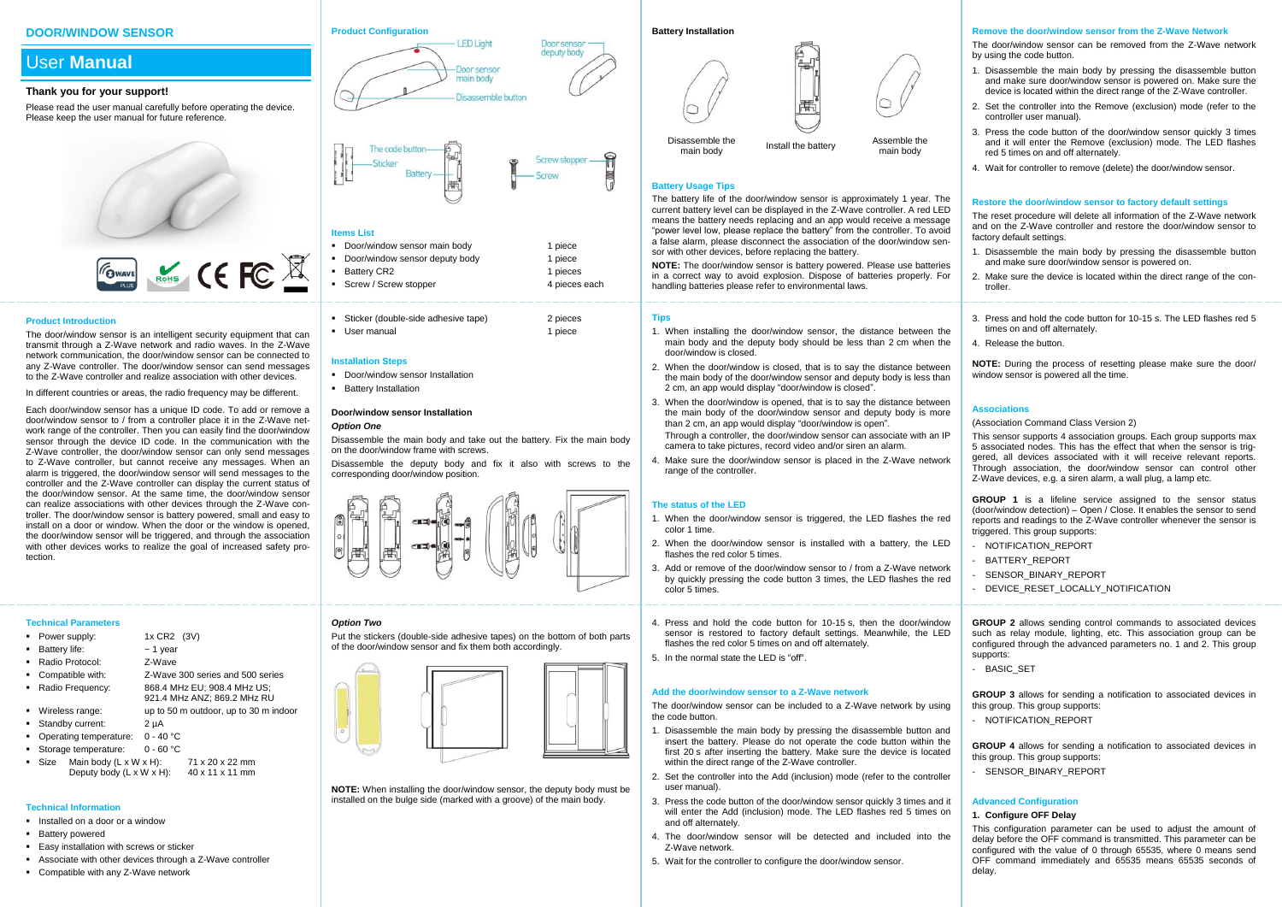## **DOOR/WINDOW SENSOR**

# User **Manual**

#### **Thank you for your support!**

Please read the user manual carefully before operating the device. Please keep the user manual for future reference.



#### **Product Introduction**

The door/window sensor is an intelligent security equipment that can transmit through a Z-Wave network and radio waves. In the Z-Wave network communication, the door/window sensor can be connected to any Z-Wave controller. The door/window sensor can send messages to the Z-Wave controller and realize association with other devices.

In different countries or areas, the radio frequency may be different.

Each door/window sensor has a unique ID code. To add or remove a door/window sensor to / from a controller place it in the Z-Wave network range of the controller. Then you can easily find the door/window sensor through the device ID code. In the communication with the Z-Wave controller, the door/window sensor can only send messages to Z-Wave controller, but cannot receive any messages. When an alarm is triggered, the door/window sensor will send messages to the controller and the Z-Wave controller can display the current status of the door/window sensor. At the same time, the door/window sensor can realize associations with other devices through the Z-Wave controller. The door/window sensor is battery powered, small and easy to install on a door or window. When the door or the window is opened, the door/window sensor will be triggered, and through the association with other devices works to realize the goal of increased safety protection.

#### **Technical Parameters**

- Power supply: 1x CR2 (3V)
- Battery life: ~ 1 year
- Radio Protocol: Z-Wave
- Compatible with: Z-Wave 300 series and 500 series
- Radio Frequency: 868.4 MHz EU; 908.4 MHz US;
- 921.4 MHz ANZ; 869.2 MHz RU
- Wireless range: up to 50 m outdoor, up to 30 m indoor
- Standby current: 2 µA
- Operating temperature: 0 40 °C
- Storage temperature: 0 60 °C
- Size Main body  $(1 \times W \times H)$ : 71 x 20 x 22 mm Deputy body  $(L \times W \times H)$ : 40 x 11 x 11 mm

# **Technical Information**

- **Installed on a door or a window**
- **Battery powered**
- Easy installation with screws or sticker
- Associate with other devices through a Z-Wave controller
- Compatible with any Z-Wave network

#### **Product Configuration**





# **Items List**

| • Door/window sensor main body   | 1 piece       |
|----------------------------------|---------------|
| • Door/window sensor deputy body | 1 piece       |
| • Battery CR2                    | 1 pieces      |
| • Screw / Screw stopper          | 4 pieces each |

| Sticker (double-side adhesive tape) | 2 pieces |
|-------------------------------------|----------|
| • User manual                       | 1 piece  |

#### **Installation Steps**

- Door/window sensor Installation
- **Battery Installation**

#### **Door/window sensor Installation** *Option One*

Disassemble the main body and take out the battery. Fix the main body on the door/window frame with screws.

Disassemble the deputy body and fix it also with screws to the corresponding door/window position.



# *Option Two*

Put the stickers (double-side adhesive tapes) on the bottom of both parts of the door/window sensor and fix them both accordingly.



**NOTE:** When installing the door/window sensor, the deputy body must be installed on the bulge side (marked with a groove) of the main body.



main body Install the battery Assemble the

main body

# **Battery Usage Tips**

Disassemble the<br>main hody

The battery life of the door/window sensor is approximately 1 year. The current battery level can be displayed in the Z-Wave controller. A red LED means the battery needs replacing and an app would receive a message "power level low, please replace the battery" from the controller. To avoid a false alarm, please disconnect the association of the door/window sensor with other devices, before replacing the battery.

**NOTE:** The door/window sensor is battery powered. Please use batteries in a correct way to avoid explosion. Dispose of batteries properly. For handling batteries please refer to environmental laws.

#### **Tips**

- 1. When installing the door/window sensor, the distance between the main body and the deputy body should be less than 2 cm when the door/window is closed.
- 2. When the door/window is closed, that is to say the distance between the main body of the door/window sensor and deputy body is less than 2 cm, an app would display "door/window is closed".
- 3. When the door/window is opened, that is to say the distance between the main body of the door/window sensor and deputy body is more than 2 cm, an app would display "door/window is open". Through a controller, the door/window sensor can associate with an IP camera to take pictures, record video and/or siren an alarm.
- 4. Make sure the door/window sensor is placed in the Z-Wave network range of the controller.

#### **The status of the LED**

- 1. When the door/window sensor is triggered, the LED flashes the red color 1 time.
- 2. When the door/window sensor is installed with a battery, the LED flashes the red color 5 times.
- 3. Add or remove of the door/window sensor to / from a Z-Wave network by quickly pressing the code button 3 times, the LED flashes the red color 5 times.
- 4. Press and hold the code button for 10-15 s, then the door/window sensor is restored to factory default settings. Meanwhile, the LED flashes the red color 5 times on and off alternately.
- 5. In the normal state the LED is "off".

#### **Add the door/window sensor to a Z-Wave network**

The door/window sensor can be included to a Z-Wave network by using the code button.

- Disassemble the main body by pressing the disassemble button and insert the battery. Please do not operate the code button within the first 20 s after inserting the battery. Make sure the device is located within the direct range of the Z-Wave controller.
- 2. Set the controller into the Add (inclusion) mode (refer to the controller user manual).
- 3. Press the code button of the door/window sensor quickly 3 times and it will enter the Add (inclusion) mode. The LED flashes red 5 times on and off alternately.
- 4. The door/window sensor will be detected and included into the Z-Wave network.
- 5. Wait for the controller to configure the door/window sensor.

#### **Remove the door/window sensor from the Z-Wave Network**

The door/window sensor can be removed from the Z-Wave network by using the code button.

- 1. Disassemble the main body by pressing the disassemble button and make sure door/window sensor is powered on. Make sure the device is located within the direct range of the Z-Wave controller.
- 2. Set the controller into the Remove (exclusion) mode (refer to the controller user manual).
- 3. Press the code button of the door/window sensor quickly 3 times and it will enter the Remove (exclusion) mode. The LED flashes red 5 times on and off alternately.
- 4. Wait for controller to remove (delete) the door/window sensor.

#### **Restore the door/window sensor to factory default settings**

The reset procedure will delete all information of the Z-Wave network and on the Z-Wave controller and restore the door/window sensor to factory default settings.

- 1. Disassemble the main body by pressing the disassemble button and make sure door/window sensor is powered on.
- 2. Make sure the device is located within the direct range of the controller.
- 3. Press and hold the code button for 10-15 s. The LED flashes red 5 times on and off alternately.
- 4. Release the button.

**NOTE:** During the process of resetting please make sure the door/ window sensor is powered all the time.

### **Associations**

#### (Association Command Class Version 2)

This sensor supports 4 association groups. Each group supports max 5 associated nodes. This has the effect that when the sensor is triggered, all devices associated with it will receive relevant reports. Through association, the door/window sensor can control other Z-Wave devices, e.g. a siren alarm, a wall plug, a lamp etc.

**GROUP 1** is a lifeline service assigned to the sensor status (door/window detection) – Open / Close. It enables the sensor to send reports and readings to the Z-Wave controller whenever the sensor is triggered. This group supports:

- NOTIFICATION REPORT
- BATTERY REPORT
- SENSOR BINARY REPORT
- DEVICE\_RESET\_LOCALLY\_NOTIFICATION

**GROUP 2** allows sending control commands to associated devices such as relay module, lighting, etc. This association group can be configured through the advanced parameters no. 1 and 2. This group supports:

- BASIC\_SET

**GROUP 3** allows for sending a notification to associated devices in this group. This group supports:

- NOTIFICATION REPORT

**GROUP 4** allows for sending a notification to associated devices in this group. This group supports:

- SENSOR BINARY REPORT

# **Advanced Configuration**

# **1. Configure OFF Delay**

This configuration parameter can be used to adjust the amount of delay before the OFF command is transmitted. This parameter can be configured with the value of 0 through 65535, where 0 means send OFF command immediately and 65535 means 65535 seconds of delay.